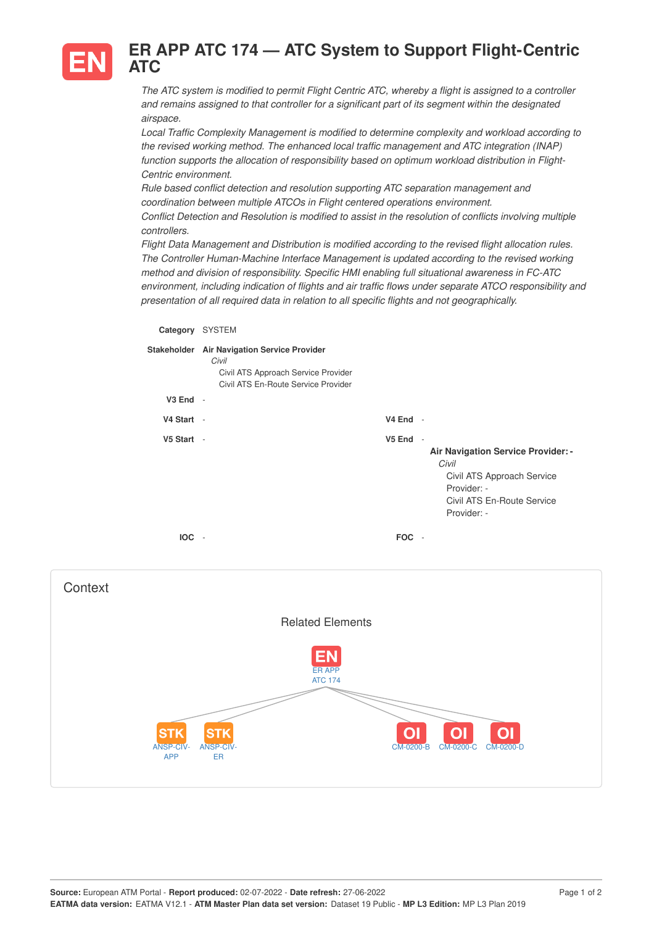

## **ER APP ATC 174 — ATC System to Support Flight-Centric ATC**

The ATC system is modified to permit Flight Centric ATC, whereby a flight is assigned to a controller *and remains assigned to that controller for a significant part of its segment within the designated airspace.*

*Local Traffic Complexity Management is modified to determine complexity and workload according to the revised working method. The enhanced local traffic management and ATC integration (INAP) function supports the allocation of responsibility based on optimum workload distribution in Flight-Centric environment.*

*Rule based conflict detection and resolution supporting ATC separation management and coordination between multiple ATCOs in Flight centered operations environment.*

*Conflict Detection and Resolution is modified to assist in the resolution of conflicts involving multiple controllers.*

*Flight Data Management and Distribution is modified according to the revised flight allocation rules. The Controller Human-Machine Interface Management is updated according to the revised working method and division of responsibility. Specific HMI enabling full situational awareness in FC-ATC environment, including indication of flights and air traffic flows under separate ATCO responsibility and presentation of all required data in relation to all specific flights and not geographically.*

| Category     | <b>SYSTEM</b>                                                                                                                      |                    |                                                                                                                                                                   |
|--------------|------------------------------------------------------------------------------------------------------------------------------------|--------------------|-------------------------------------------------------------------------------------------------------------------------------------------------------------------|
|              | Stakeholder Air Navigation Service Provider<br>Civil<br>Civil ATS Approach Service Provider<br>Civil ATS En-Route Service Provider |                    |                                                                                                                                                                   |
| $V3$ End $-$ |                                                                                                                                    |                    |                                                                                                                                                                   |
| V4 Start -   |                                                                                                                                    | V4 End             | $\overline{\phantom{a}}$                                                                                                                                          |
| V5 Start -   |                                                                                                                                    | V <sub>5</sub> End | $\overline{\phantom{a}}$<br>Air Navigation Service Provider: -<br>Civil<br>Civil ATS Approach Service<br>Provider: -<br>Civil ATS En-Route Service<br>Provider: - |
| <b>IOC</b>   | $\overline{\phantom{a}}$                                                                                                           | <b>FOC</b>         | $\overline{\phantom{a}}$                                                                                                                                          |